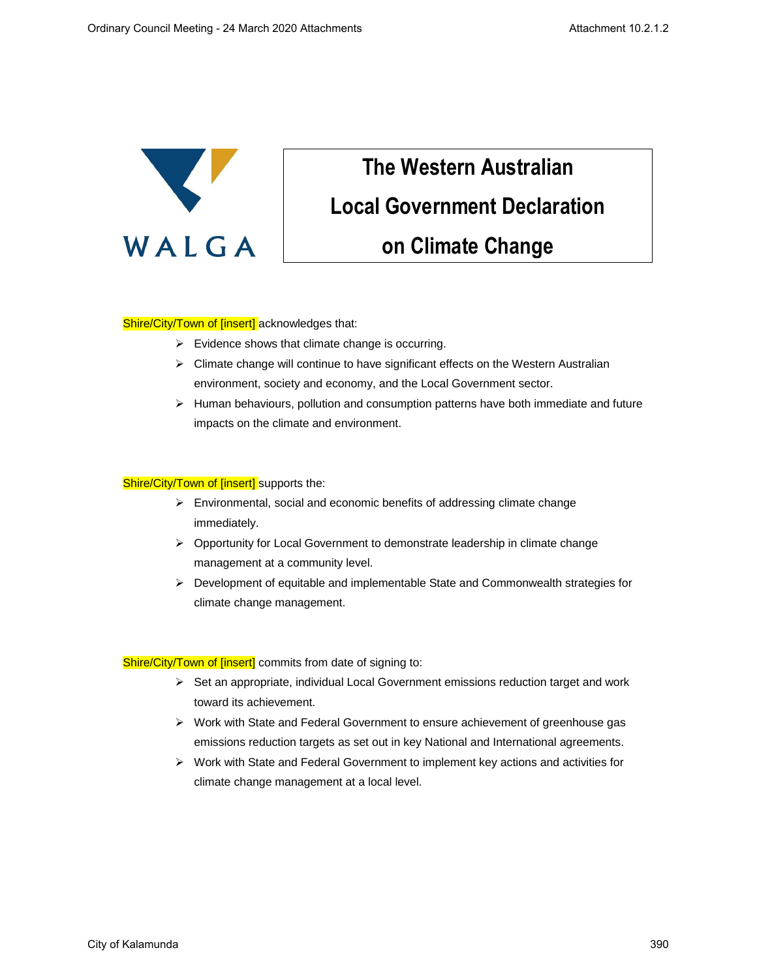

# **The Western Australian Local Government Declaration on Climate Change**

### Shire/City/Town of [insert] acknowledges that:

- $\triangleright$  Evidence shows that climate change is occurring.
- $\triangleright$  Climate change will continue to have significant effects on the Western Australian environment, society and economy, and the Local Government sector.
- $\triangleright$  Human behaviours, pollution and consumption patterns have both immediate and future impacts on the climate and environment.

## Shire/City/Town of [insert] supports the:

- ➢ Environmental, social and economic benefits of addressing climate change immediately.
- ➢ Opportunity for Local Government to demonstrate leadership in climate change management at a community level.
- ➢ Development of equitable and implementable State and Commonwealth strategies for climate change management.

#### Shire/City/Town of [insert] commits from date of signing to:

- $\triangleright$  Set an appropriate, individual Local Government emissions reduction target and work toward its achievement.
- ➢ Work with State and Federal Government to ensure achievement of greenhouse gas emissions reduction targets as set out in key National and International agreements.
- ➢ Work with State and Federal Government to implement key actions and activities for climate change management at a local level.